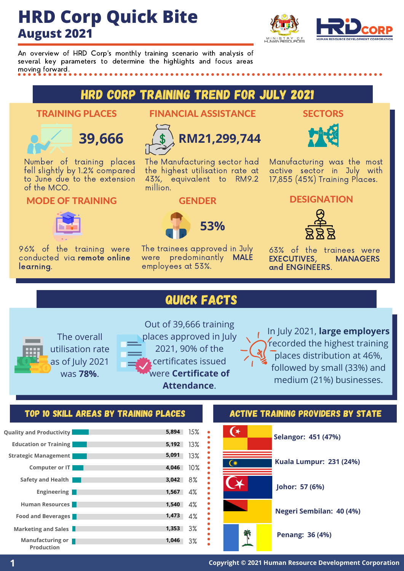# **HRD Corp Quick Bite August 2021**



An overview of HRD Corp's monthly training scenario with analysis of several key parameters to determine the highlights and focus areas moving forward.

# HRD Corp Training Trend for July 2021

## TRAINING PLACES



Number of training places fell slightly by 1.2% compared to June due to the extension of the MCO.

## MODE OF TRAINING



96% of the training were conducted via remote online learning.

## FINANCIAL ASSISTANCE



The Manufacturing sector had the highest utilisation rate at 43%, equivalent to RM9.2 million.

## GENDER



The trainees approved in July were predominantly MALE employees at 53%.

## **SECTORS**



Manufacturing was the most active sector in July with 17,855 (45%) Training Places.

## **DESIGNATION**



63% of the trainees were<br>EXECUTIVES. MANAGERS **EXECUTIVES,** and ENGINEERS.

## QUICK FACTS



Out of 39,666 training places approved in July 2021, 90% of the certificates issued were **Certificate of Attendance**.

In July 2021, **large employers** recorded the highest training places distribution at 46%, followed by small (33%) and medium (21%) businesses.

## TOP 10 SKILL AREAS BY TRAINING PLACES **ACTIVE TRAINING PROVIDERS BY STATE**





**1 Copyright © <sup>2021</sup> Human Resource Development Corporation**